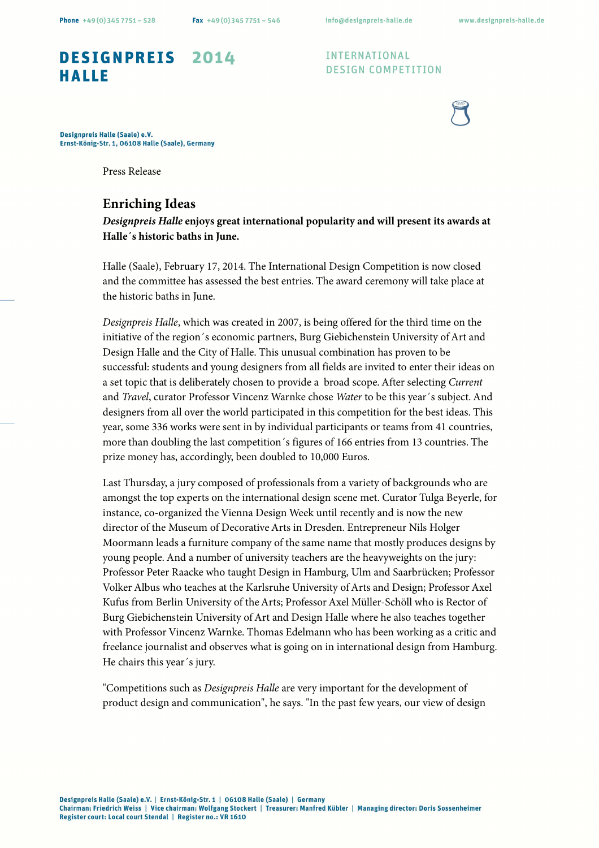## DESIGNPREIS 2014 **HALLE**

**INTERNATIONAL DESIGN COMPETITION** 



Designpreis Halle (Saale) e.V. Ernst-König-Str. 1, 06108 Halle (Saale), Germany

Press Release

## **Enriching Ideas**

**Designpreis Halle enjoys great international popularity and will present its awards at Halle´s historic baths in June.** 

Halle (Saale), February 17, 2014. The International Design Competition is now closed and the committee has assessed the best entries. The award ceremony will take place at the historic baths in June.

Designpreis Halle, which was created in 2007, is being offered for the third time on the initiative of the region´s economic partners, Burg Giebichenstein University of Art and Design Halle and the City of Halle. This unusual combination has proven to be successful: students and young designers from all fields are invited to enter their ideas on a set topic that is deliberately chosen to provide a broad scope. After selecting Current and Travel, curator Professor Vincenz Warnke chose Water to be this year´s subject. And designers from all over the world participated in this competition for the best ideas. This year, some 336 works were sent in by individual participants or teams from 41 countries, more than doubling the last competition´s figures of 166 entries from 13 countries. The prize money has, accordingly, been doubled to 10,000 Euros.

Last Thursday, a jury composed of professionals from a variety of backgrounds who are amongst the top experts on the international design scene met. Curator Tulga Beyerle, for instance, co-organized the Vienna Design Week until recently and is now the new director of the Museum of Decorative Arts in Dresden. Entrepreneur Nils Holger Moormann leads a furniture company of the same name that mostly produces designs by young people. And a number of university teachers are the heavyweights on the jury: Professor Peter Raacke who taught Design in Hamburg, Ulm and Saarbrücken; Professor Volker Albus who teaches at the Karlsruhe University of Arts and Design; Professor Axel Kufus from Berlin University of the Arts; Professor Axel Müller-Schöll who is Rector of Burg Giebichenstein University of Art and Design Halle where he also teaches together with Professor Vincenz Warnke. Thomas Edelmann who has been working as a critic and freelance journalist and observes what is going on in international design from Hamburg. He chairs this year´s jury.

"Competitions such as Designpreis Halle are very important for the development of product design and communication", he says. "In the past few years, our view of design